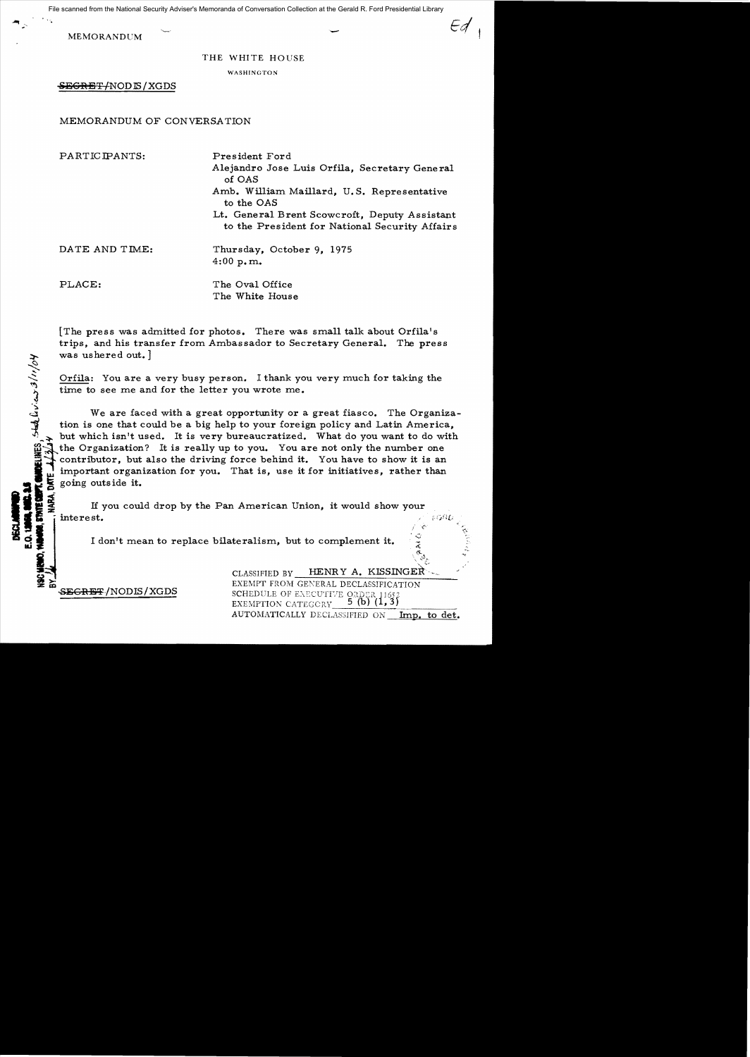File scanned from the National Security Adviser's Memoranda of Conversation Collection at the Gerald R. Ford Presidential Library

MEMORANDUM

## THE WHITE HOUSE

WASHINGTON

 $EGREF/NODIS/XGDS$ 

MEMORANDUM OF CONVERSATION

PARTICIPANTS: President Ford

Alejandro Jose Luis Orfila, Secretary General of OAS Amb. William Maillard, U. S. Representative to the OAS Lt. General Brent Scowcroft, Deputy Assistant to the President for National Security Affairs

*Ed*

DATE AND TIME: Thursday, October 9, 1975 4:00 p.m.

DECLARATION

PLACE: The Oval Office The White House

[The press was admitted for photos. There was small talk about Orfila's trips, and his transfer from Ambassador to Secretary General. The press was ushered out. ]

Orfila: You are a very busy person. I thank you very much for taking the time to see me and for the letter you wrote me.

We are faced with a great opportunity or a great fiasco. The Organization is one that could be a big help to your foreign policy and Latin America, but which isn't used. It is very bureaucratized. What do you want to do with was usnered out. I<br>
Orfila: You are a very busy person. I thank you very much for taking the<br>
time to see me and for the letter you wrote me.<br>
You are faced with a great opportunity or a great fiasco. The Organiz<br>
tion is going outside it.

If you could drop by the Pan American Union, it would show your interest.<br>I don't mean to replace bilateralism, but to complement it.  $\frac{c}{z}$ 

EXEMPTION CATEGORY  $5$  (b)  $(1,3)$ <br>AUTOMATICALLY DECLASSIFIED ON Imp. to det. CLASSIFIED BY HENRY A. KISSINGER CLASSIFIED BY HENRY A. KISSINGER-EXEMPT FROM GENERAL DECLASSIFICATION<br>SEGRET/NODIS/XGDS<br>SCHEDIUE OF EXECUTIVE OPDER 11652 SEGRET/NODIS/XGDS SCHEDULE OF EXECUTIVE ORDER 11652 EXEMPTION CATEGGRY  $5$  (b) (1,3)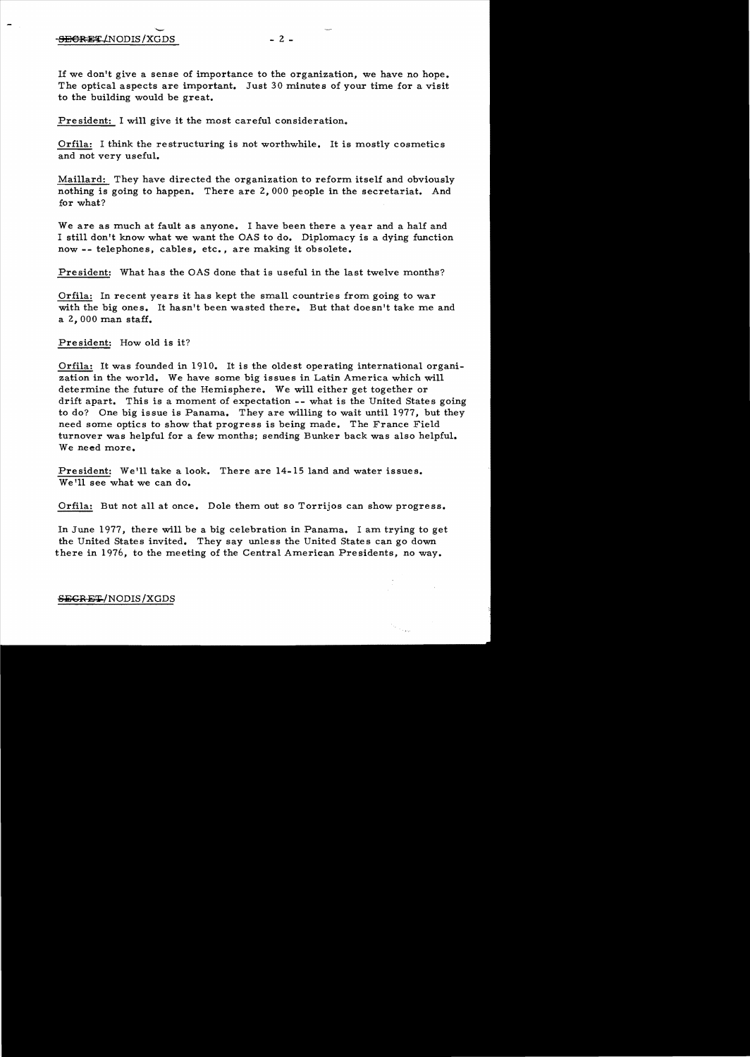If we don't give a sense of importance to the organization, we have no hope. The optical aspects are important. Just 30 minutes of your time for a visit to the building would be great.

President: I will give it the most careful consideration.

Orfila: I think the restructuring is not worthwhile. It is mostly cosmetics and not very useful.

Maillard: They have directed the organization to reform itself and obviously nothing is going to happen. There are 2,000 people in the secretariat. And for what?

We are as much at fault as anyone. I have been there a year and a half and I still don't know what we want the OAS to do. Diplomacy is a dying function now -- telephones, cables, etc., are making it obsolete.

President: What has the OAS done that is useful in the last twelve months?

Orfila: In recent years it has kept the small countrie s from going to war with the big ones. It hasn't been wasted there. But that doesn't take me and a  $2,000$  man staff.

President: How old is it?

Orfila: It was founded in 1910. It is the oldest operating international organization in the world. We have some big issues in Latin America which will determine the future of the Hemisphere. We will either get together or drift apart. This is a moment of expectation -- what is the United States going to do? One big issue is Panama. They are willing to wait until 1977, but they need some optics to show that progress is being made. The France Field turnover was helpful for a few months; sending Bunker back was also helpful. We need more.

President: We'll take a look. There are 14-15 land and water issues. We'll see what we can do.

Orfila: But not all at once. Dole them out so Torrijos can show progress.

In June 1977, there will be a big celebration in Panama. I am trying to get the United States invited. They say unless the United States can go down there in 1976, to the meeting of the Central American Presidents, no way.

SEGRET/NODIS/XGDS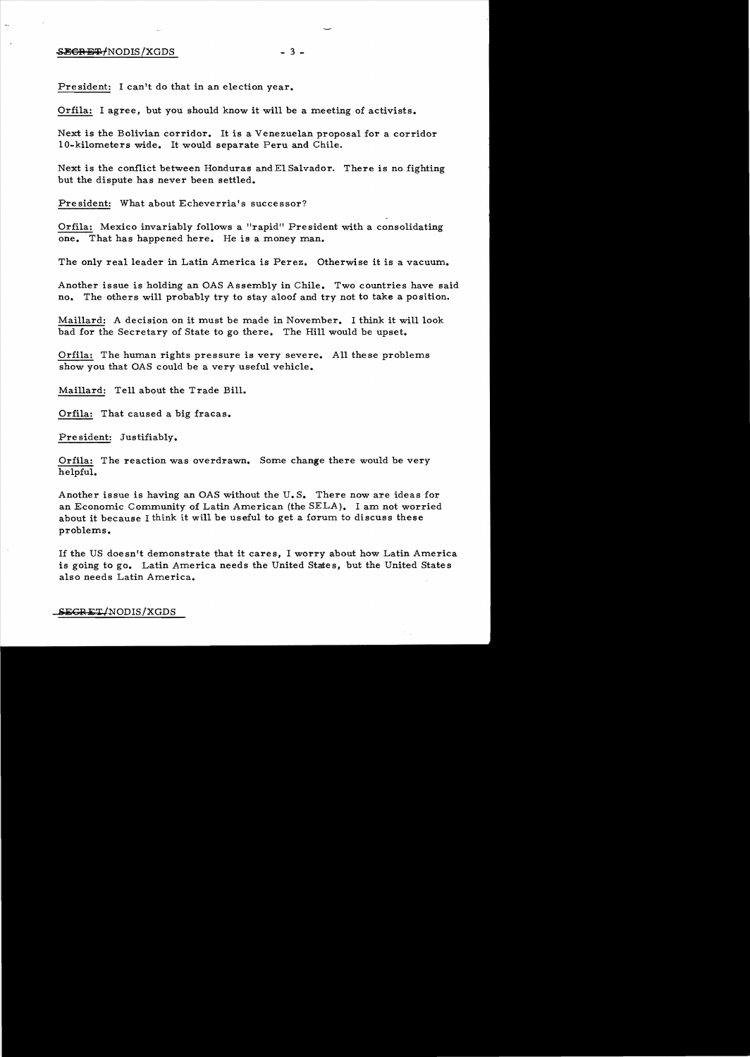## $SEEOREF/NODIS/XGDS$  - 3 -

President: I can't do that in an election year.

Orfila: I agree, but you should know it will be a meeting of activists.

Next is the Bolivian corridor. It is a Venezuelan proposal for a corridor lO-kilometers wide. It would separate Peru and Chile.

Next is the conflict between Honduras and El Salvador. There is no fighting but the dispute has never been settled.

President: What about Echeverria's successor?

Orfila: Mexico invariably follows a "rapid" President with a consolidating one. That has happened here. He is a money man.

The only real leader in Latin America is Perez. Otherwise it is a vacuum.

Another issue is holding an OAS Assembly in Chile. Two countries have said no. The others will probably try to stay aloof and try not to take a position.

Maillard: A decision on it must be made in November. I think it will look bad for the Secretary of State to go there. The Hill would be upset.

Orfila: The human rights pressure is very severe. All these problems show you that OAS could be a very useful vehicle.

Maillard: Tell about the Trade Bill.

Orfila: That caused a big fracas.

Pre sident: Justifiably.

Orfila: The reaction was overdrawn. Some change there would be very helpful.

Another issue is having an OAS without the U. S. There now are ideas for an Economic Community of Latin American (the SELA). I am not worried about it because I think it will be useful to get a forum to discuss these problems.

If the US doesn't demonstrate that it cares, I worry about how Latin America is going to go. Latin America needs the United States, but the United States also needs Latin America.

 $S_{\rm EGRET/NODIS/XGDS}$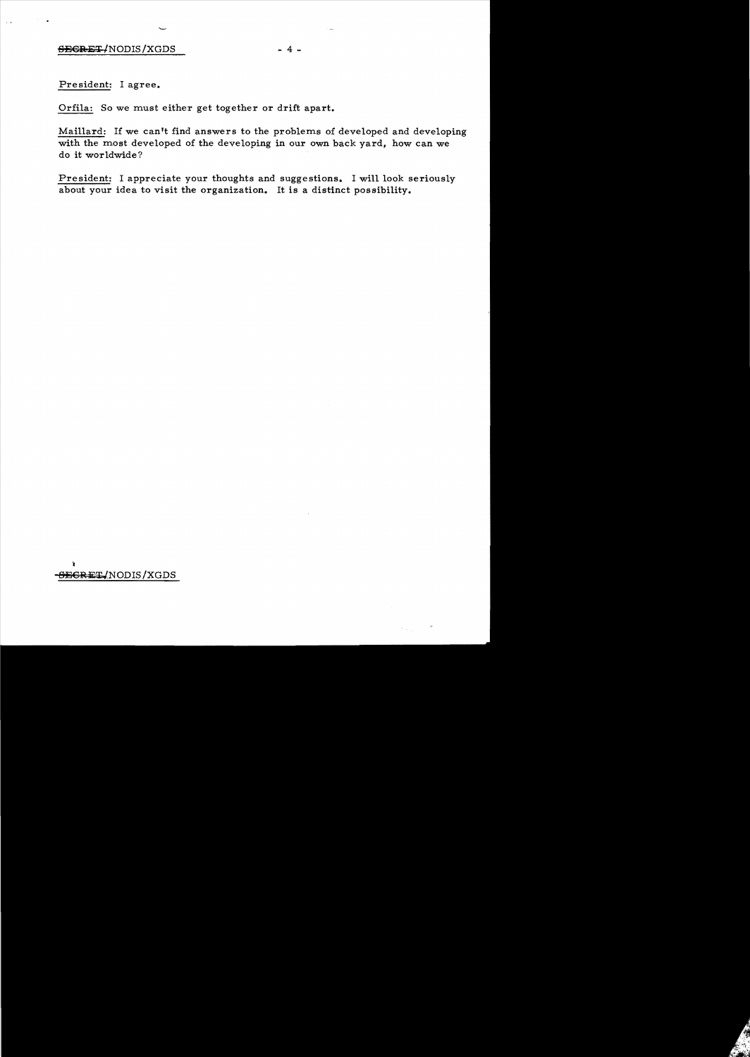President: I agree.

Orfila: So we must either get together or drift apart.

Maillard: If we can't find answers to the problems of developed and developing with the most developed of the developing in our own back yard, how can we do it worldwide ?

President: I appreciate your thoughts and suggestions. I will look seriously about your idea to visit the organization. It is a distinct possibility.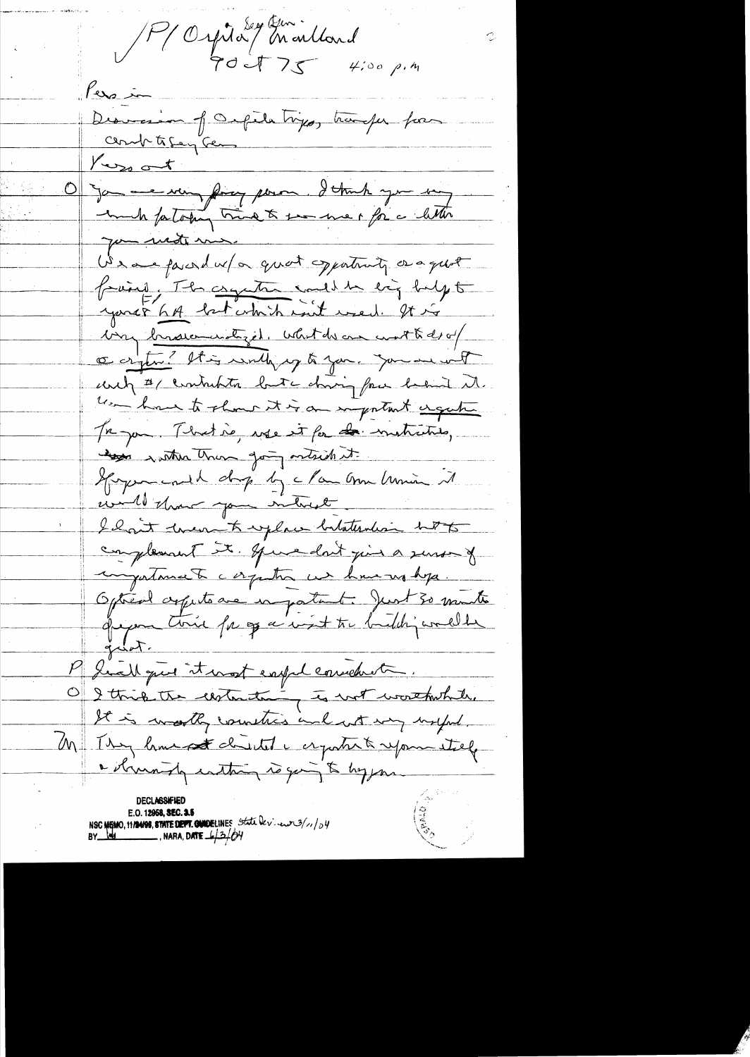P Orpital Indend<br>P Orpital Indend ers in Discression of Orgetatings, transfer for  $Y_{\text{ex}}$  ot James sur forge pour d'Amb you une you mote me. We are faint w/or quot opportunity or a quot frains, The compter could be eightedyt very brassementiget. What do an wat to de of ce cryton? It is writing to you. you are with und # contributes but doing for heard it. use have to show it is an important engage Tre par Mertie, use it for de metrities, and within the going withich it. Spagnorenald drop by clan anne humin it would that you intrict I hait tween to replace batatention hot complement it. Spiredn't juin a sensor of ingustamente corpution un have un depa. Optient appetance in patient. Just 30 minutes qu'on this page sint tre bidding coulde P Suall que it most expel considerate. O I this the centeration to not worthwhite. It is walky countries and not my uniford. M Isy home st chutet a cryate & reposentely a struming instancy to going to hypon E.O. 12958, SEC. 3.5 NSC MEMO, 11/14/98, STATE DEPT. QUIDELINES State Dev. euro 3/1/04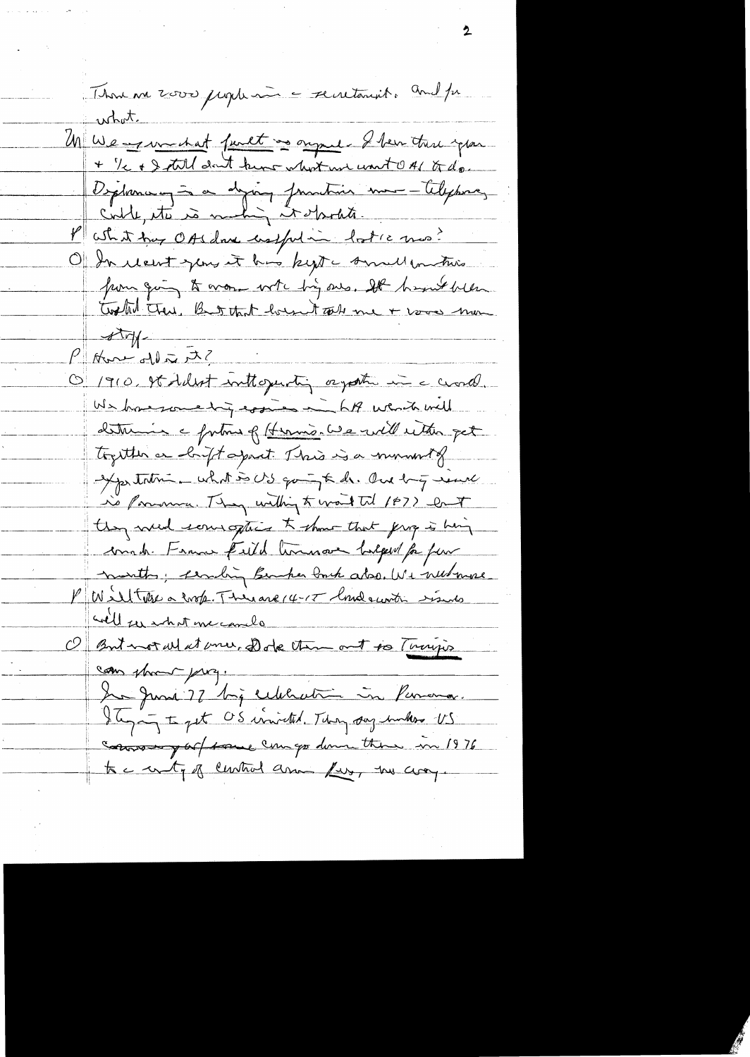Thomas 2000 jugir au centanit au 12 Un Wearswerket furt as ought I ben the year Dépleman = a dépoup franchier mon - Telephone, <u>Putit true OASdave costfution lost cano?</u> Of In recent you it has kept annul in this pour quing to work with his one. It host been Worther Trene, But that housent car me + voors mon  $\sqrt{v}$  $\frac{\rho_{\text{max}}}{\rho_{\text{max}}}$ O 1910, It fellet inthogenty orgative in a crocol. We have some try essies in LA went will determin a fortuna of Hermis. We will with get together an conftagent This is a moment of expertation what is US quint de One buy ment is ponoma. They within to wait til 1872 Cont they were some offices to show that give is hing conste France field terrinor balged for four months; cambing Bender Porch abo. We need more Miltons a corp. Therane 14-17 londe with sinds will see what me camelo But not what me, Dode the out to Turijo  $\mathcal{O} \Vert$ can show przy. In June 77 big celebration in Persona. Ilige to get OS inited. They say unker US comment of tous compo down them in 1976 to a with of cuntral and for, we are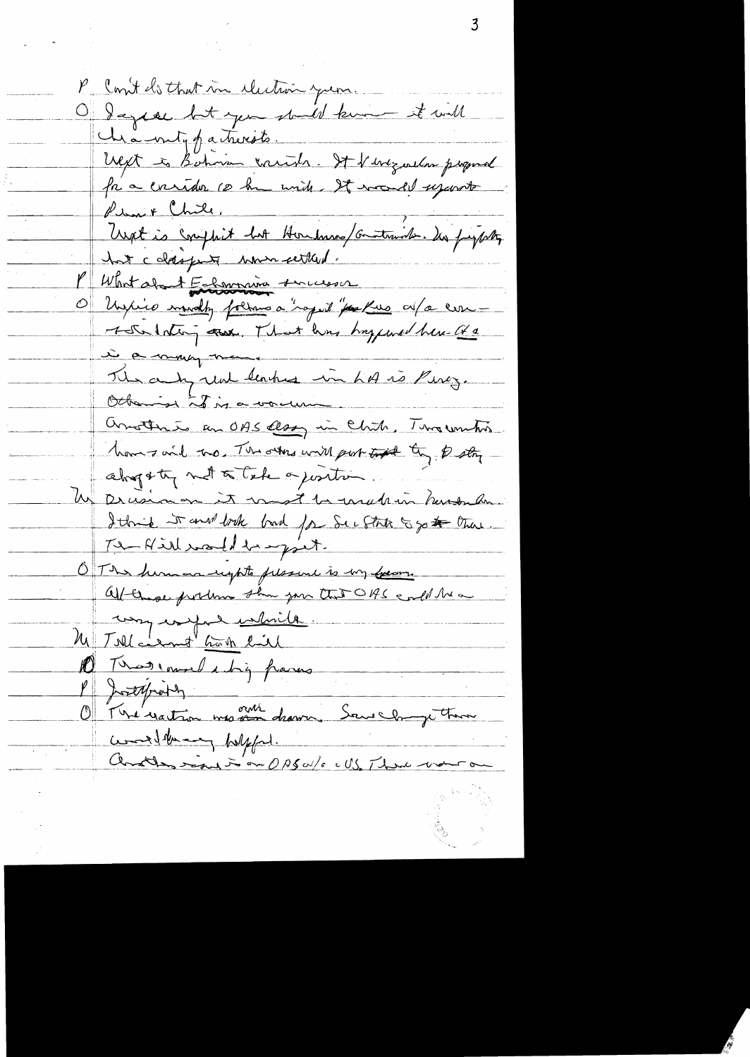P Cont do that in cluthon years. O days en bit you should know it will ché-vutippatricité. West is Bohnson carith. It is ingendant Permit Chile, lieux & mon.<br>Unat is compleit hat Hombrose/Gomtanide. Des faysottes hat coldsports when settled. What about Enforcement successor Unité mondy forms à "soprit" par Rue av/a com i a may man. The any real leakes in his is Pincy. Otherine is is a vacuu Orrother is an OBS close in Chite, The winter. home said two, The owns will probably they to stay alogsty not to take a justin We Decesion on it must be usede in humbridge I think it and book bad for See State 5 go to them. The Hill would be export. O The human rights pleasure is my forcom. Afternoe produce sur me the OBS end the way worked while. M Tollarmo hon lil D Trosemal chip para P Josephine) comedition polyfort.<br>Constant in the CASO/s = US, There was a